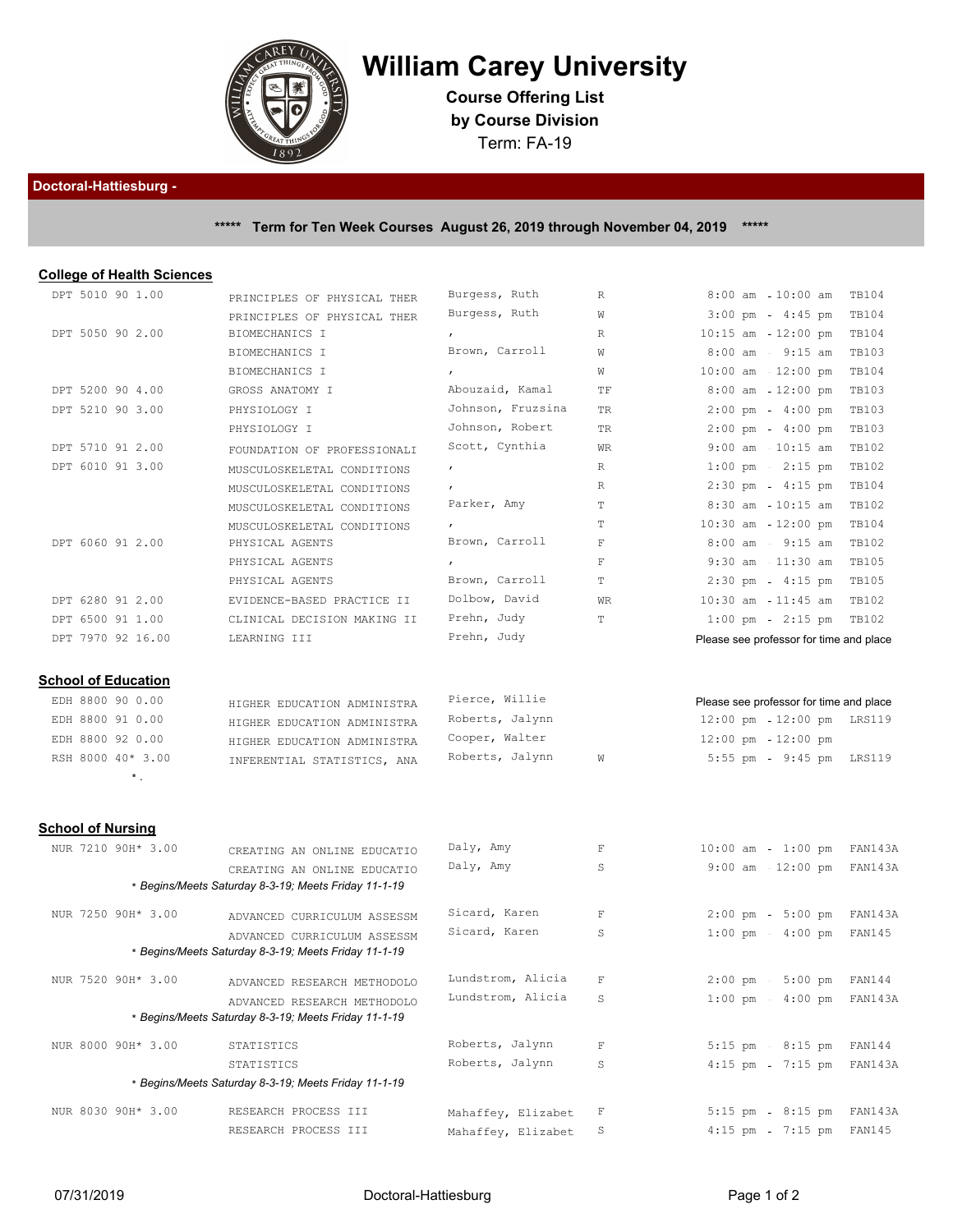

## **William Carey University**

**Course Offering List by Course Division** Term: FA-19

## **Doctoral-Hattiesburg -**

## **\*\*\*\*\* Term for Ten Week Courses August 26, 2019 through November 04, 2019 \*\*\*\*\***

## **College of Health Sciences**

| DPT 5010 90 1.00         |                            | PRINCIPLES OF PHYSICAL THER                          | Burgess, Ruth      | R           | $8:00$ am                             | $10:00$ am                              | <b>TB104</b>  |
|--------------------------|----------------------------|------------------------------------------------------|--------------------|-------------|---------------------------------------|-----------------------------------------|---------------|
|                          |                            | PRINCIPLES OF PHYSICAL THER                          | Burgess, Ruth      | W           |                                       | $3:00 \text{ pm } - 4:45 \text{ pm}$    | <b>TB104</b>  |
| DPT 5050 90 2.00         |                            | BIOMECHANICS I                                       | $\mathbf{r}$       | R           | $10:15$ am                            | $12:00$ pm                              | <b>TB104</b>  |
|                          |                            | BIOMECHANICS I                                       | Brown, Carroll     | W           | $8:00$ am                             | $9:15$ am                               | <b>TB103</b>  |
|                          |                            | BIOMECHANICS I                                       | $\mathbf{r}$       | W           | $10:00$ am $-12:00$ pm                |                                         | <b>TB104</b>  |
| DPT 5200 90 4.00         |                            | GROSS ANATOMY I                                      | Abouzaid, Kamal    | TF          | $8:00$ am                             | $12:00 \text{ pm}$                      | <b>TB103</b>  |
| DPT 5210 90 3.00         |                            | PHYSIOLOGY I                                         | Johnson, Fruzsina  | TR          | $2:00$ pm                             | $4:00$ pm                               | <b>TB103</b>  |
|                          |                            | PHYSIOLOGY I                                         | Johnson, Robert    | TR          |                                       | $2:00 \text{ pm } - 4:00 \text{ pm}$    | <b>TB103</b>  |
| DPT 5710 91 2.00         |                            | FOUNDATION OF PROFESSIONALI                          | Scott, Cynthia     | WR          | $9:00$ am                             | $10:15$ am                              | <b>TB102</b>  |
| DPT 6010 91 3.00         |                            | MUSCULOSKELETAL CONDITIONS                           | $\pmb{r}$          | R           | $1:00$ pm                             | $2:15$ pm                               | <b>TB102</b>  |
|                          |                            | MUSCULOSKELETAL CONDITIONS                           |                    | R           |                                       | $2:30$ pm - $4:15$ pm                   | <b>TB104</b>  |
|                          |                            | MUSCULOSKELETAL CONDITIONS                           | Parker, Amy        | T           | $8:30$ am                             | $10:15$ am                              | <b>TB102</b>  |
|                          |                            | MUSCULOSKELETAL CONDITIONS                           |                    | Т           | $10:30$ am                            | $12:00 \text{ pm}$                      | <b>TB104</b>  |
| DPT 6060 91 2.00         |                            | PHYSICAL AGENTS                                      | Brown, Carroll     | $\mathbf F$ |                                       | $8:00$ am - $9:15$ am                   | <b>TB102</b>  |
|                          |                            | PHYSICAL AGENTS                                      |                    | F           | $9:30$ am                             | $11:30$ am                              | <b>TB105</b>  |
|                          |                            | PHYSICAL AGENTS                                      | Brown, Carroll     | T           | $2:30$ pm                             | $4:15$ pm                               | <b>TB105</b>  |
| DPT 6280 91 2.00         |                            | EVIDENCE-BASED PRACTICE II                           | Dolbow, David      | <b>WR</b>   | $10:30$ am $-11:45$ am                |                                         | <b>TB102</b>  |
| DPT 6500 91 1.00         |                            | CLINICAL DECISION MAKING II                          | Prehn, Judy        | T           | $1:00$ pm                             | $2:15$ pm                               | <b>TB102</b>  |
|                          | DPT 7970 92 16.00          | LEARNING III                                         | Prehn, Judy        |             |                                       | Please see professor for time and place |               |
|                          | <b>School of Education</b> |                                                      |                    |             |                                       |                                         |               |
| EDH 8800 90 0.00         |                            | HIGHER EDUCATION ADMINISTRA                          | Pierce, Willie     |             |                                       | Please see professor for time and place |               |
| EDH 8800 91 0.00         |                            | HIGHER EDUCATION ADMINISTRA                          | Roberts, Jalynn    |             | $12:00$ pm                            | 12:00 pm                                | LRS119        |
| EDH 8800 92 0.00         |                            | HIGHER EDUCATION ADMINISTRA                          | Cooper, Walter     |             | $12:00 \text{ pm } -12:00 \text{ pm}$ |                                         |               |
|                          | RSH 8000 40* 3.00          | INFERENTIAL STATISTICS, ANA                          | Roberts, Jalynn    | W           | $5:55$ pm                             | $9:45$ pm                               | LRS119        |
|                          | $^\star$ .                 |                                                      |                    |             |                                       |                                         |               |
| <b>School of Nursing</b> |                            |                                                      |                    |             |                                       |                                         |               |
|                          | NUR 7210 90H* 3.00         | CREATING AN ONLINE EDUCATIO                          | Daly, Amy          | F           | $10:00$ am                            | $1:00$ pm                               | FAN143A       |
|                          |                            | CREATING AN ONLINE EDUCATIO                          | Daly, Amy          | S           |                                       | $9:00$ am $-12:00$ pm                   | FAN143A       |
|                          |                            | * Begins/Meets Saturday 8-3-19; Meets Friday 11-1-19 |                    |             |                                       |                                         |               |
|                          | NUR 7250 90H* 3.00         | ADVANCED CURRICULUM ASSESSM                          | Sicard, Karen      | $\mathbf F$ |                                       | $2:00 \text{ pm } -5:00 \text{ pm }$    | FAN143A       |
|                          |                            | ADVANCED CURRICULUM ASSESSM                          | Sicard, Karen      | S           |                                       | $1:00 \text{ pm } - 4:00 \text{ pm }$   | FAN145        |
|                          |                            | * Begins/Meets Saturday 8-3-19; Meets Friday 11-1-19 |                    |             |                                       |                                         |               |
|                          | NUR 7520 90H* 3.00         | ADVANCED RESEARCH METHODOLO                          | Lundstrom, Alicia  | F           |                                       | $2:00 \text{ pm } - 5:00 \text{ pm}$    | <b>FAN144</b> |
|                          |                            | ADVANCED RESEARCH METHODOLO                          | Lundstrom, Alicia  | S           | $1:00$ pm                             | $4:00$ pm                               | FAN143A       |
|                          |                            | * Begins/Meets Saturday 8-3-19; Meets Friday 11-1-19 |                    |             |                                       |                                         |               |
|                          | NUR 8000 90H* 3.00         | STATISTICS                                           | Roberts, Jalynn    | $\mathbf F$ |                                       | 5:15 pm - 8:15 pm                       | FAN144        |
|                          |                            | STATISTICS                                           | Roberts, Jalynn    | S           | $4:15$ pm                             | $7:15$ pm                               | FAN143A       |
|                          |                            | * Begins/Meets Saturday 8-3-19; Meets Friday 11-1-19 |                    |             |                                       |                                         |               |
|                          | NUR 8030 90H* 3.00         | RESEARCH PROCESS III                                 | Mahaffey, Elizabet | F           | $5:15$ pm                             | $8:15$ pm                               | FAN143A       |
|                          |                            | RESEARCH PROCESS III                                 | Mahaffey, Elizabet | S           | $4:15$ pm                             | $7:15$ pm                               | FAN145        |
|                          |                            |                                                      |                    |             |                                       |                                         |               |